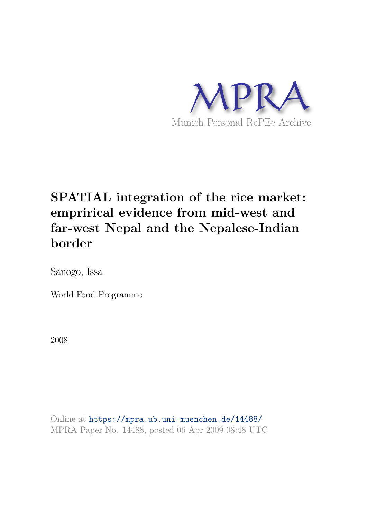

# **SPATIAL integration of the rice market: emprirical evidence from mid-west and far-west Nepal and the Nepalese-Indian border**

Sanogo, Issa

World Food Programme

2008

Online at https://mpra.ub.uni-muenchen.de/14488/ MPRA Paper No. 14488, posted 06 Apr 2009 08:48 UTC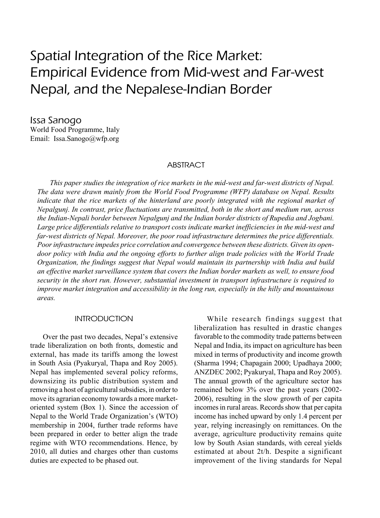## Spatial Integration of the Rice Market: Empirical Evidence from Mid-west and Far-west Nepal, and the Nepalese-Indian Border

Issa Sanogo World Food Programme, Italy Email: Issa.Sanogo@wfp.org

#### **ABSTRACT**

*This paper studies the integration of rice markets in the mid-west and far-west districts of Nepal. The data were drawn mainly from the World Food Programme (WFP) database on Nepal. Results indicate that the rice markets of the hinterland are poorly integrated with the regional market of Nepalgunj. In contrast, price fluctuations are transmitted, both in the short and medium run, across the Indian-Nepali border between Nepalgunj and the Indian border districts of Rupedia and Jogbani. Large price differentials relative to transport costs indicate market inefficiencies in the mid-west and far-west districts of Nepal. Moreover, the poor road infrastructure determines the price differentials. Poor infrastructure impedes price correlation and convergence between these districts. Given its opendoor policy with India and the ongoing efforts to further align trade policies with the World Trade Organization, the findings suggest that Nepal would maintain its partnership with India and build an effective market surveillance system that covers the Indian border markets as well, to ensure food security in the short run. However, substantial investment in transport infrastructure is required to improve market integration and accessibility in the long run, especially in the hilly and mountainous areas.* 

#### **INTRODUCTION**

Over the past two decades, Nepal's extensive trade liberalization on both fronts, domestic and external, has made its tariffs among the lowest in South Asia (Pyakuryal, Thapa and Roy 2005). Nepal has implemented several policy reforms, downsizing its public distribution system and removing a host of agricultural subsidies, in order to move its agrarian economy towards a more marketoriented system (Box 1). Since the accession of Nepal to the World Trade Organization's (WTO) membership in 2004, further trade reforms have been prepared in order to better align the trade regime with WTO recommendations. Hence, by 2010, all duties and charges other than customs duties are expected to be phased out.

While research findings suggest that liberalization has resulted in drastic changes favorable to the commodity trade patterns between Nepal and India, its impact on agriculture has been mixed in terms of productivity and income growth (Sharma 1994; Chapagain 2000; Upadhaya 2000; ANZDEC 2002; Pyakuryal, Thapa and Roy 2005). The annual growth of the agriculture sector has remained below 3% over the past years (2002- 2006), resulting in the slow growth of per capita incomes in rural areas. Records show that per capita income has inched upward by only 1.4 percent per year, relying increasingly on remittances. On the average, agriculture productivity remains quite low by South Asian standards, with cereal yields estimated at about 2t/h. Despite a significant improvement of the living standards for Nepal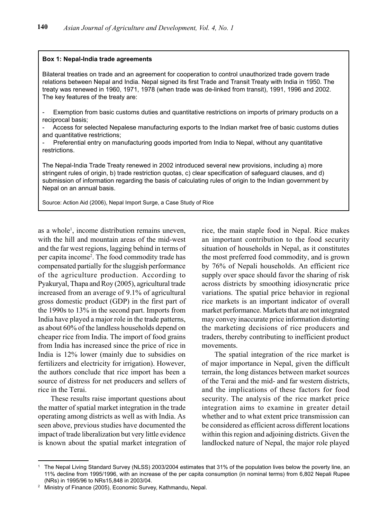#### **Box 1: Nepal-India trade agreements**

Bilateral treaties on trade and an agreement for cooperation to control unauthorized trade govern trade relations between Nepal and India. Nepal signed its first Trade and Transit Treaty with India in 1950. The treaty was renewed in 1960, 1971, 1978 (when trade was de-linked from transit), 1991, 1996 and 2002. The key features of the treaty are:

Exemption from basic customs duties and quantitative restrictions on imports of primary products on a reciprocal basis;

- Access for selected Nepalese manufacturing exports to the Indian market free of basic customs duties and quantitative restrictions;

Preferential entry on manufacturing goods imported from India to Nepal, without any quantitative restrictions.

The Nepal-India Trade Treaty renewed in 2002 introduced several new provisions, including a) more stringent rules of origin, b) trade restriction quotas, c) clear specification of safeguard clauses, and d) submission of information regarding the basis of calculating rules of origin to the Indian government by Nepal on an annual basis.

Source: Action Aid (2006), Nepal Import Surge, a Case Study of Rice

as a whole<sup>1</sup>, income distribution remains uneven, with the hill and mountain areas of the mid-west and the far west regions, lagging behind in terms of per capita income<sup>2</sup> . The food commodity trade has compensated partially for the sluggish performance of the agriculture production. According to Pyakuryal, Thapa and Roy (2005), agricultural trade increased from an average of 9.1% of agricultural gross domestic product (GDP) in the first part of the 1990s to 13% in the second part. Imports from India have played a major role in the trade patterns, as about 60% of the landless households depend on cheaper rice from India. The import of food grains from India has increased since the price of rice in India is 12% lower (mainly due to subsidies on fertilizers and electricity for irrigation). However, the authors conclude that rice import has been a source of distress for net producers and sellers of rice in the Terai.

These results raise important questions about the matter of spatial market integration in the trade operating among districts as well as with India. As seen above, previous studies have documented the impact of trade liberalization but very little evidence is known about the spatial market integration of

rice, the main staple food in Nepal. Rice makes an important contribution to the food security situation of households in Nepal, as it constitutes the most preferred food commodity, and is grown by 76% of Nepali households. An efficient rice supply over space should favor the sharing of risk across districts by smoothing idiosyncratic price variations. The spatial price behavior in regional rice markets is an important indicator of overall market performance. Markets that are not integrated may convey inaccurate price information distorting the marketing decisions of rice producers and traders, thereby contributing to inefficient product movements.

The spatial integration of the rice market is of major importance in Nepal, given the difficult terrain, the long distances between market sources of the Terai and the mid- and far western districts, and the implications of these factors for food security. The analysis of the rice market price integration aims to examine in greater detail whether and to what extent price transmission can be considered as efficient across different locations within this region and adjoining districts. Given the landlocked nature of Nepal, the major role played

<sup>1</sup> The Nepal Living Standard Survey (NLSS) 2003/2004 estimates that 31% of the population lives below the poverty line, an 11% decline from 1995/1996, with an increase of the per capita consumption (in nominal terms) from 6,802 Nepali Rupee (NRs) in 1995/96 to NRs15,848 in 2003/04.

<sup>2</sup> Ministry of Finance (2005), Economic Survey, Kathmandu, Nepal.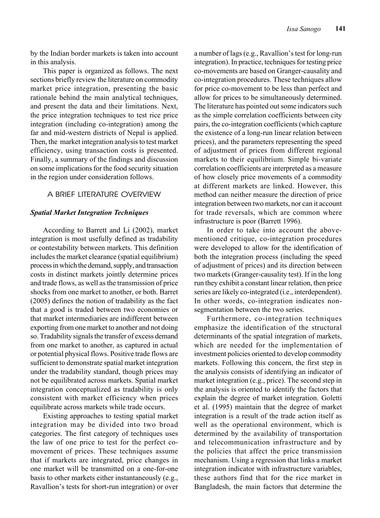by the Indian border markets is taken into account in this analysis.

This paper is organized as follows. The next sections briefly review the literature on commodity market price integration, presenting the basic rationale behind the main analytical techniques, and present the data and their limitations. Next, the price integration techniques to test rice price integration (including co-integration) among the far and mid-western districts of Nepal is applied. Then, the market integration analysis to test market efficiency, using transaction costs is presented. Finally, a summary of the findings and discussion on some implications for the food security situation in the region under consideration follows.

### A BRIEF LITERATURE OVERVIEW

#### *Spatial Market Integration Techniques*

According to Barrett and Li (2002), market integration is most usefully defined as tradability or contestability between markets. This definition includes the market clearance (spatial equilibrium) process in which the demand, supply, and transaction costs in distinct markets jointly determine prices and trade flows, as well as the transmission of price shocks from one market to another, or both. Barret (2005) defines the notion of tradability as the fact that a good is traded between two economies or that market intermediaries are indifferent between exporting from one market to another and not doing so. Tradability signals the transfer of excess demand from one market to another, as captured in actual or potential physical flows. Positive trade flows are sufficient to demonstrate spatial market integration under the tradability standard, though prices may not be equilibrated across markets. Spatial market integration conceptualized as tradability is only consistent with market efficiency when prices equilibrate across markets while trade occurs.

Existing approaches to testing spatial market integration may be divided into two broad categories. The first category of techniques uses the law of one price to test for the perfect comovement of prices. These techniques assume that if markets are integrated, price changes in one market will be transmitted on a one-for-one basis to other markets either instantaneously (e.g., Ravallion's tests for short-run integration) or over a number of lags (e.g., Ravallion's test for long-run integration). In practice, techniques for testing price co-movements are based on Granger-causality and co-integration procedures. These techniques allow for price co-movement to be less than perfect and allow for prices to be simultaneously determined. The literature has pointed out some indicators such as the simple correlation coefficients between city pairs, the co-integration coefficients (which capture the existence of a long-run linear relation between prices), and the parameters representing the speed of adjustment of prices from different regional markets to their equilibrium. Simple bi-variate correlation coefficients are interpreted as a measure of how closely price movements of a commodity at different markets are linked. However, this method can neither measure the direction of price integration between two markets, nor can it account for trade reversals, which are common where infrastructure is poor (Barrett 1996).

In order to take into account the abovementioned critique, co-integration procedures were developed to allow for the identification of both the integration process (including the speed of adjustment of prices) and its direction between two markets (Granger-causality test). If in the long run they exhibit a constant linear relation, then price series are likely co-integrated (i.e., interdependent). In other words, co-integration indicates nonsegmentation between the two series.

Furthermore, co-integration techniques emphasize the identification of the structural determinants of the spatial integration of markets, which are needed for the implementation of investment policies oriented to develop commodity markets. Following this concern, the first step in the analysis consists of identifying an indicator of market integration (e.g., price). The second step in the analysis is oriented to identify the factors that explain the degree of market integration. Goletti et al. (1995) maintain that the degree of market integration is a result of the trade action itself as well as the operational environment, which is determined by the availability of transportation and telecommunication infrastructure and by the policies that affect the price transmission mechanism. Using a regression that links a market integration indicator with infrastructure variables, these authors find that for the rice market in Bangladesh, the main factors that determine the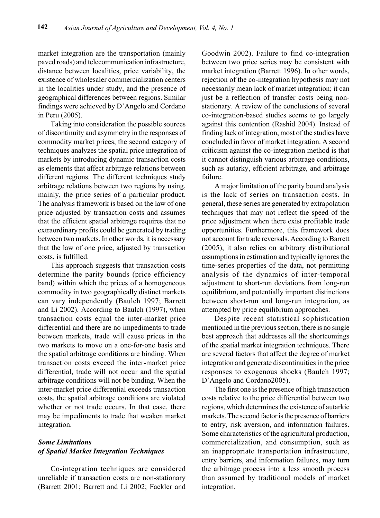market integration are the transportation (mainly paved roads) and telecommunication infrastructure, distance between localities, price variability, the existence of wholesaler commercialization centers in the localities under study, and the presence of geographical differences between regions. Similar findings were achieved by D'Angelo and Cordano in Peru (2005).

Taking into consideration the possible sources of discontinuity and asymmetry in the responses of commodity market prices, the second category of techniques analyzes the spatial price integration of markets by introducing dynamic transaction costs as elements that affect arbitrage relations between different regions. The different techniques study arbitrage relations between two regions by using, mainly, the price series of a particular product. The analysis framework is based on the law of one price adjusted by transaction costs and assumes that the efficient spatial arbitrage requires that no extraordinary profits could be generated by trading between two markets. In other words, it is necessary that the law of one price, adjusted by transaction costs, is fulfilled.

This approach suggests that transaction costs determine the parity bounds (price efficiency band) within which the prices of a homogeneous commodity in two geographically distinct markets can vary independently (Baulch 1997; Barrett and Li 2002). According to Baulch (1997), when transaction costs equal the inter-market price differential and there are no impediments to trade between markets, trade will cause prices in the two markets to move on a one-for-one basis and the spatial arbitrage conditions are binding. When transaction costs exceed the inter-market price differential, trade will not occur and the spatial arbitrage conditions will not be binding. When the inter-market price differential exceeds transaction costs, the spatial arbitrage conditions are violated whether or not trade occurs. In that case, there may be impediments to trade that weaken market integration.

## *Some Limitations of Spatial Market Integration Techniques*

Co-integration techniques are considered unreliable if transaction costs are non-stationary (Barrett 2001; Barrett and Li 2002; Fackler and

Goodwin 2002). Failure to find co-integration between two price series may be consistent with market integration (Barrett 1996). In other words, rejection of the co-integration hypothesis may not necessarily mean lack of market integration; it can just be a reflection of transfer costs being nonstationary. A review of the conclusions of several co-integration-based studies seems to go largely against this contention (Rashid 2004). Instead of finding lack of integration, most of the studies have concluded in favor of market integration. A second criticism against the co-integration method is that it cannot distinguish various arbitrage conditions, such as autarky, efficient arbitrage, and arbitrage failure.

A major limitation of the parity bound analysis is the lack of series on transaction costs. In general, these series are generated by extrapolation techniques that may not reflect the speed of the price adjustment when there exist profitable trade opportunities. Furthermore, this framework does not account for trade reversals. According to Barrett (2005), it also relies on arbitrary distributional assumptions in estimation and typically ignores the time-series properties of the data, not permitting analysis of the dynamics of inter-temporal adjustment to short-run deviations from long-run equilibrium, and potentially important distinctions between short-run and long-run integration, as attempted by price equilibrium approaches.

Despite recent statistical sophistication mentioned in the previous section, there is no single best approach that addresses all the shortcomings of the spatial market integration techniques. There are several factors that affect the degree of market integration and generate discontinuities in the price responses to exogenous shocks (Baulch 1997; D'Angelo and Cordano2005).

The first one is the presence of high transaction costs relative to the price differential between two regions, which determines the existence of autarkic markets. The second factor is the presence of barriers to entry, risk aversion, and information failures. Some characteristics of the agricultural production, commercialization, and consumption, such as an inappropriate transportation infrastructure, entry barriers, and information failures, may turn the arbitrage process into a less smooth process than assumed by traditional models of market integration.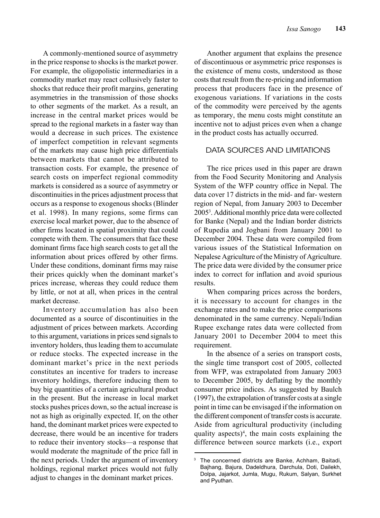A commonly-mentioned source of asymmetry in the price response to shocks is the market power. For example, the oligopolistic intermediaries in a commodity market may react collusively faster to shocks that reduce their profit margins, generating asymmetries in the transmission of those shocks to other segments of the market. As a result, an increase in the central market prices would be spread to the regional markets in a faster way than would a decrease in such prices. The existence of imperfect competition in relevant segments of the markets may cause high price differentials between markets that cannot be attributed to transaction costs. For example, the presence of search costs on imperfect regional commodity markets is considered as a source of asymmetry or discontinuities in the prices adjustment process that occurs as a response to exogenous shocks (Blinder et al. 1998). In many regions, some firms can exercise local market power, due to the absence of other firms located in spatial proximity that could compete with them. The consumers that face these dominant firms face high search costs to get all the information about prices offered by other firms. Under these conditions, dominant firms may raise their prices quickly when the dominant market's prices increase, whereas they could reduce them by little, or not at all, when prices in the central market decrease.

Inventory accumulation has also been documented as a source of discontinuities in the adjustment of prices between markets. According to this argument, variations in prices send signals to inventory holders, thus leading them to accumulate or reduce stocks. The expected increase in the dominant market's price in the next periods constitutes an incentive for traders to increase inventory holdings, therefore inducing them to buy big quantities of a certain agricultural product in the present. But the increase in local market stocks pushes prices down, so the actual increase is not as high as originally expected. If, on the other hand, the dominant market prices were expected to decrease, there would be an incentive for traders to reduce their inventory stocks—a response that would moderate the magnitude of the price fall in the next periods. Under the argument of inventory holdings, regional market prices would not fully adjust to changes in the dominant market prices.

Another argument that explains the presence of discontinuous or asymmetric price responses is the existence of menu costs, understood as those costs that result from the re-pricing and information process that producers face in the presence of exogenous variations. If variations in the costs of the commodity were perceived by the agents as temporary, the menu costs might constitute an incentive not to adjust prices even when a change in the product costs has actually occurred.

#### DAtA sOUrcEs AND LIMItAtIONs

The rice prices used in this paper are drawn from the Food Security Monitoring and Analysis System of the WFP country office in Nepal. The data cover 17 districts in the mid- and far- western region of Nepal, from January 2003 to December 2005<sup>3</sup> . Additional monthly price data were collected for Banke (Nepal) and the Indian border districts of Rupedia and Jogbani from January 2001 to December 2004. These data were compiled from various issues of the Statistical Information on Nepalese Agriculture of the Ministry of Agriculture. The price data were divided by the consumer price index to correct for inflation and avoid spurious results.

When comparing prices across the borders, it is necessary to account for changes in the exchange rates and to make the price comparisons denominated in the same currency. Nepali/Indian Rupee exchange rates data were collected from January 2001 to December 2004 to meet this requirement.

In the absence of a series on transport costs, the single time transport cost of 2005, collected from WFP, was extrapolated from January 2003 to December 2005, by deflating by the monthly consumer price indices. As suggested by Baulch (1997), the extrapolation of transfer costs at a single point in time can be envisaged if the information on the different component of transfer costs is accurate. Aside from agricultural productivity (including quality aspects)<sup>4</sup> , the main costs explaining the difference between source markets (i.e., export

<sup>3</sup> The concerned districts are Banke, Achham, Baitadi, Bajhang, Bajura, Dadeldhura, Darchula, Doti, Dailekh, Dolpa, Jajarkot, Jumla, Mugu, Rukum, Salyan, Surkhet and Pyuthan.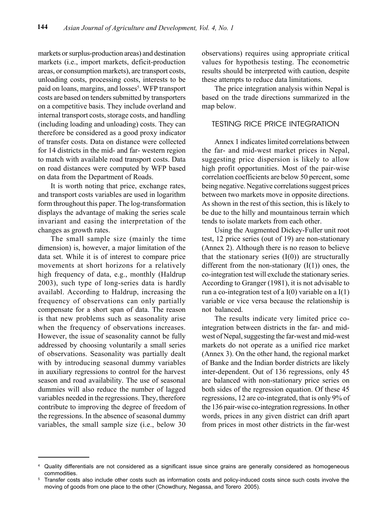markets or surplus-production areas) and destination markets (i.e., import markets, deficit-production areas, or consumption markets), are transport costs, unloading costs, processing costs, interests to be paid on loans, margins, and losses<sup>5</sup>. WFP transport costs are based on tenders submitted by transporters on a competitive basis. They include overland and internal transport costs, storage costs, and handling (including loading and unloading) costs. They can therefore be considered as a good proxy indicator of transfer costs. Data on distance were collected for 14 districts in the mid- and far- western region to match with available road transport costs. Data on road distances were computed by WFP based on data from the Department of Roads.

It is worth noting that price, exchange rates, and transport costs variables are used in logarithm form throughout this paper. The log-transformation displays the advantage of making the series scale invariant and easing the interpretation of the changes as growth rates.

The small sample size (mainly the time dimension) is, however, a major limitation of the data set. While it is of interest to compare price movements at short horizons for a relatively high frequency of data, e.g., monthly (Haldrup 2003), such type of long-series data is hardly availabl. According to Haldrup, increasing the frequency of observations can only partially compensate for a short span of data. The reason is that new problems such as seasonality arise when the frequency of observations increases. However, the issue of seasonality cannot be fully addressed by choosing voluntarily a small series of observations. Seasonality was partially dealt with by introducing seasonal dummy variables in auxiliary regressions to control for the harvest season and road availability. The use of seasonal dummies will also reduce the number of lagged variables needed in the regressions. They, therefore contribute to improving the degree of freedom of the regressions. In the absence of seasonal dummy variables, the small sample size (i.e., below 30

observations) requires using appropriate critical values for hypothesis testing. The econometric results should be interpreted with caution, despite these attempts to reduce data limitations.

The price integration analysis within Nepal is based on the trade directions summarized in the map below.

## **TESTING RICE PRICE INTEGRATION**

Annex 1 indicates limited correlations between the far- and mid-west market prices in Nepal, suggesting price dispersion is likely to allow high profit opportunities. Most of the pair-wise correlation coefficients are below 50 percent, some being negative. Negative correlations suggest prices between two markets move in opposite directions. As shown in the rest of this section, this is likely to be due to the hilly and mountainous terrain which tends to isolate markets from each other.

Using the Augmented Dickey-Fuller unit root test, 12 price series (out of 19) are non-stationary (Annex 2). Although there is no reason to believe that the stationary series  $(I(0))$  are structurally different from the non-stationary  $(I(1))$  ones, the co-integration test will exclude the stationary series. According to Granger (1981), it is not advisable to run a co-integration test of a  $I(0)$  variable on a  $I(1)$ variable or vice versa because the relationship is not balanced.

The results indicate very limited price cointegration between districts in the far- and midwest of Nepal, suggesting the far-west and mid-west markets do not operate as a unified rice market (Annex 3). On the other hand, the regional market of Banke and the Indian border districts are likely inter-dependent. Out of 136 regressions, only 45 are balanced with non-stationary price series on both sides of the regression equation. Of these 45 regressions, 12 are co-integrated, that is only 9% of the 136 pair-wise co-integration regressions. In other words, prices in any given district can drift apart from prices in most other districts in the far-west

<sup>4</sup> Quality differentials are not considered as a significant issue since grains are generally considered as homogeneous commodities.

<sup>5</sup> Transfer costs also include other costs such as information costs and policy-induced costs since such costs involve the moving of goods from one place to the other (Chowdhury, Negassa, and Torero 2005).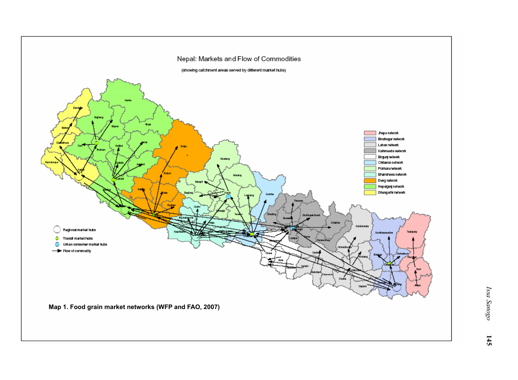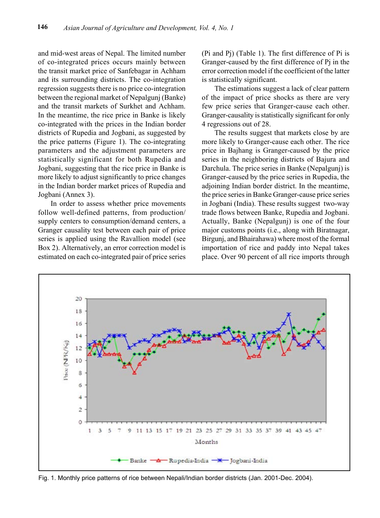and mid-west areas of Nepal. The limited number of co-integrated prices occurs mainly between the transit market price of Sanfebagar in Achham and its surrounding districts. The co-integration regression suggests there is no price co-integration between the regional market of Nepalgunj (Banke) and the transit markets of Surkhet and Achham. In the meantime, the rice price in Banke is likely co-integrated with the prices in the Indian border districts of Rupedia and Jogbani, as suggested by the price patterns (Figure 1). The co-integrating parameters and the adjustment parameters are statistically significant for both Rupedia and Jogbani, suggesting that the rice price in Banke is more likely to adjust significantly to price changes in the Indian border market prices of Rupedia and Jogbani (Annex 3).

In order to assess whether price movements follow well-defined patterns, from production/ supply centers to consumption/demand centers, a Granger causality test between each pair of price series is applied using the Ravallion model (see Box 2). Alternatively, an error correction model is estimated on each co-integrated pair of price series (Pi and Pj) (Table 1). The first difference of Pi is Granger-caused by the first difference of Pj in the error correction model if the coefficient of the latter is statistically significant.

The estimations suggest a lack of clear pattern of the impact of price shocks as there are very few price series that Granger-cause each other. Granger-causality is statistically significant for only 4 regressions out of 28.

The results suggest that markets close by are more likely to Granger-cause each other. The rice price in Bajhang is Granger-caused by the price series in the neighboring districts of Bajura and Darchula. The price series in Banke (Nepalgunj) is Granger-caused by the price series in Rupedia, the adjoining Indian border district. In the meantime, the price series in Banke Granger-cause price series in Jogbani (India). These results suggest two-way trade flows between Banke, Rupedia and Jogbani. Actually, Banke (Nepalgunj) is one of the four major customs points (i.e., along with Biratnagar, Birgunj, and Bhairahawa) where most of the formal importation of rice and paddy into Nepal takes place. Over 90 percent of all rice imports through



Fig. 1. Monthly price patterns of rice between Nepali/Indian border districts (Jan. 2001-Dec. 2004).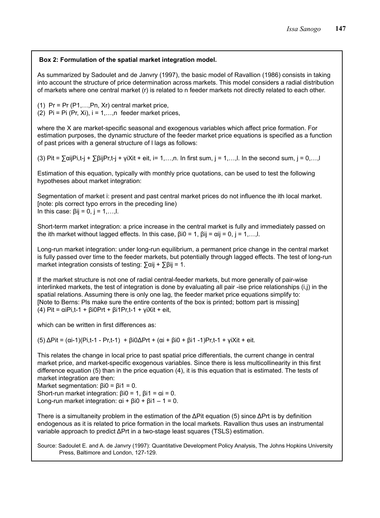#### **Box 2: Formulation of the spatial market integration model.**

As summarized by Sadoulet and de Janvry (1997), the basic model of Ravallion (1986) consists in taking into account the structure of price determination across markets. This model considers a radial distribution of markets where one central market (r) is related to n feeder markets not directly related to each other.

(1)  $Pr = Pr(P1, ..., Pn, Xr)$  central market price,

(2)  $Pi = Pi$  (Pr, Xi),  $i = 1,...,n$  feeder market prices,

where the X are market-specific seasonal and exogenous variables which affect price formation. For estimation purposes, the dynamic structure of the feeder market price equations is specified as a function of past prices with a general structure of l lags as follows:

(3) Pit =  $\sum \alpha i$ jPi,t-j +  $\sum \beta i$ jPr,t-j + yiXit + eit, i= 1,...,n. In first sum, j = 1,...,l. In the second sum, j = 0,...,l

Estimation of this equation, typically with monthly price quotations, can be used to test the following hypotheses about market integration:

Segmentation of market i: present and past central market prices do not influence the ith local market. [note: pls correct typo errors in the preceding line) In this case:  $β$ ij = 0, j = 1,...,l.

Short-term market integration: a price increase in the central market is fully and immediately passed on the ith market without lagged effects. In this case,  $βi0 = 1$ ,  $βij = αij = 0$ ,  $j = 1,...,l$ .

Long-run market integration: under long-run equilibrium, a permanent price change in the central market is fully passed over time to the feeder markets, but potentially through lagged effects. The test of long-run market integration consists of testing:  $\sum$ αij +  $\sum$ βij = 1.

If the market structure is not one of radial central-feeder markets, but more generally of pair-wise interlinked markets, the test of integration is done by evaluating all pair -ise price relationships (i,j) in the spatial relations. Assuming there is only one lag, the feeder market price equations simplify to: [Note to Berns: Pls make sure the entire contents of the box is printed; bottom part is missing] (4) Pit =  $\alpha$ iPi,t-1 +  $\beta$ i0Prt +  $\beta$ i1Pr,t-1 + γiXit + eit,

which can be written in first differences as:

(5) ΔPit = (αi-1)(Pi,t-1 - Pr,t-1) + βi0ΔPrt + (αi + βi0 + βi1 -1)Pr,t-1 + γiXit + eit.

This relates the change in local price to past spatial price differentials, the current change in central market price, and market-specific exogenous variables. Since there is less multicollinearity in this first difference equation (5) than in the price equation (4), it is this equation that is estimated. The tests of market integration are then:

Market segmentation:  $βi0 = βi1 = 0$ . Short-run market integration:  $βi0 = 1$ ,  $βi1 = αi = 0$ . Long-run market integration:  $αi + βi0 + βi1 - 1 = 0$ .

There is a simultaneity problem in the estimation of the ΔPit equation (5) since ΔPrt is by definition endogenous as it is related to price formation in the local markets. Ravallion thus uses an instrumental variable approach to predict ΔPrt in a two-stage least squares (TSLS) estimation.

Source: Sadoulet E. and A. de Janvry (1997): Quantitative Development Policy Analysis, The Johns Hopkins University Press, Baltimore and London, 127-129.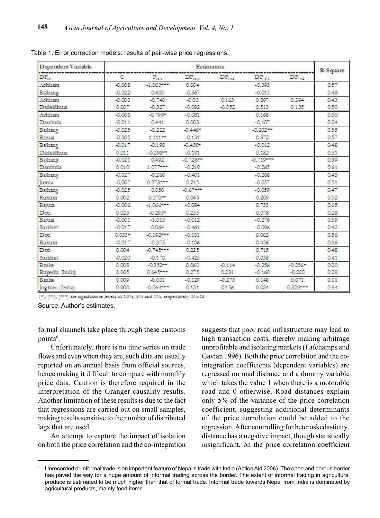| Dependent Variable | Estimators         |                    |                  |                                |               |             |          |  |  |  |
|--------------------|--------------------|--------------------|------------------|--------------------------------|---------------|-------------|----------|--|--|--|
| $DP_{i+1}$         | c                  | $P_{i, j-1}$       | $DP_{i,p+1}$     | $\texttt{DP}_{\cup\texttt{S}}$ | $DP_{\geq 1}$ | $DP_{1,22}$ | R-Square |  |  |  |
| Achham             | $-0.008$           | $-1.063***$        | 0.004            |                                | $-0.393$      |             | 0.57     |  |  |  |
| Bajhang            | $-0.022$           | 0.403              | $-0.367$         |                                | $-0.015$      |             | 0.48     |  |  |  |
| Achham             | $-0.003$           | $-0.740.$          | $-0.03$          | 0.163                          | 0.897         | 0.294       | 0.43     |  |  |  |
| Dadeldhura         | 0.007              | $-0.327$           | $-0.092$         | $-0.052$                       | 0.513         | 0.135       | 0.50     |  |  |  |
| Achham             | $-0.006$           | $-0.799*$          | $-0.081$         |                                | 0.168         |             | 0.50     |  |  |  |
| Darchula           | $-0.011$           | 0.441              | 0.003            |                                | $-0.107$      |             | 0.24     |  |  |  |
| Bajhang            | $-0.025$           | $-0.222$           | $-0.446^{\circ}$ |                                | $-0.202***$   |             | 0.55     |  |  |  |
| Bajum              | $-0.005$           | $1.111**$          | $-0.131$         |                                | 0.372         |             | 0.57     |  |  |  |
| Bajhang            | $-0.017$           | $-0.190.$          | $-0.439*$        |                                | $-0.012$      |             | 0.48     |  |  |  |
| Dadeklhum          | 0.011              | $-0.296***$        | $-0.191$         |                                | 0.182         |             | 0.51     |  |  |  |
| Bajhang            | $-0.021$           | 0.492              | $-0.726**$       |                                | $-0.719***$   |             | 0.69     |  |  |  |
| Darchula           | 0.010              | $1.077$ mm $^{-1}$ | $-0.219$         |                                | $-0.263$      |             | 0.61     |  |  |  |
| Bajhang            | $-0.027$           | $-0.260$           | $-0.401$         |                                | $-0.268$      |             | 0.45     |  |  |  |
| Jumla              | $-0.007$           | 0.973***           | 0.215            |                                | $-0.057$      |             | 0.51     |  |  |  |
| Bajhang            | $-0.025$           | 0.050              | $-0.67***$       |                                | $-0.059$      |             | 0.47     |  |  |  |
| Rukum              | 0.002              | 0.570**            | 0.043            |                                | 0.209         |             | 0.52     |  |  |  |
| <b>Bajura</b>      | $-0.006$           | $-1.066$ week      | $-0.084$         |                                | 0.733         |             | 0.65     |  |  |  |
| Doti               | 0.023              | $-0.295$ *         | 0.235            |                                | 0.078         |             | 0.28     |  |  |  |
| Bajura             | $-0.001$           | $-1.013$           | $-0.012$         |                                | $-0.276$      |             | 0.59     |  |  |  |
| Surkhet            | $-0.017$           | 0.064              | $-0.461$         |                                | $-0.096$      |             | 0.43     |  |  |  |
| Doti               | 0.035 <sup>m</sup> | $-0.192***$        | $-0.101$         |                                | 0.062         |             | 0.56     |  |  |  |
| Rukum              | $-0.017$           | $-0.373$           | $-0.106$         |                                | 0.456         |             | 0.36     |  |  |  |
| Doti               | 0.004              | $-0.745***$        | 0.225            |                                | 0.715         |             | 0.48     |  |  |  |
| Surkhet            | $-0.020$           | $-0.170.$          | $-0.423$         |                                | 0.058         |             | 0.41     |  |  |  |
| Banke              | 0.008              | $-0.352**$         | 0.060            | $-0.114$                       | $-0.256$      | $-0.256*$   | 0.20     |  |  |  |
| Rupedia (India)    | 0.005              | $0.645***$         | 0.275            | 0.251                          | $-0.160.$     | $-0.220$    | 0.29     |  |  |  |
| Banke              | 0.009              | $-0.001$           | $-0.129$         | $-0.273$                       | 0.148         | 0.071       | 0.11     |  |  |  |
| Tog bani (India)   | 0.000              | $-0.044$ even.     | 0.131            | 0.156                          | 0.034.        | $0.329***$  | 0.44     |  |  |  |

Table 1. Error correction models: results of pair-wise price regressions.

(", (\*\*), (\*\*\*) are significance levels of 10%, 5% and 1%, respectively. N=18

Source: Author's estimates.

formal channels take place through these customs points<sup>6</sup>.

Unfortunately, there is no time series on trade flows and even when they are, such data are usually reported on an annual basis from official sources, hence making it difficult to compare with monthly price data. Caution is therefore required in the interpretation of the Granger-causality results. Another limitation of these results is due to the fact that regressions are carried out on small samples, making results sensitive to the number of distributed lags that are used.

An attempt to capture the impact of isolation on both the price correlation and the co-integration

suggests that poor road infrastructure may lead to high transaction costs, thereby making arbitrage unprofitable and isolating markets (Fafchamps and Gavian 1996). Both the price correlation and the cointegration coefficients (dependent variables) are regressed on road distance and a dummy variable which takes the value 1 when there is a motorable road and 0 otherwise. Road distances explain only 5% of the variance of the price correlation coefficient, suggesting additional determinants of the price correlation could be added to the regression. After controlling for heteroskedasticity, distance has a negative impact, though statistically insignificant, on the price correlation coefficient

<sup>6</sup> Unrecorded or informal trade is an important feature of Nepal's trade with India (Action Aid 2006). The open and porous border has paved the way for a huge amount of informal trading across the border. The extent of informal trading in agricultural produce is estimated to be much higher than that of formal trade. Informal trade towards Nepal from India is dominated by agricultural products, mainly food items.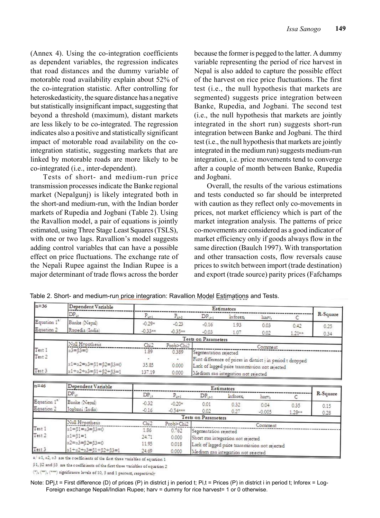$(Annex 4)$ . Using the co-integration coefficients. as dependent variables, the regression indicates that road distances and the dummy variable of motorable road availability explain about 52% of the co-integration statistic. After controlling for heteroskedasticity, the square distance has a negative but statistically insignificant impact, suggesting that beyond a threshold (maximum), distant markets are less likely to be co-integrated. The regression indicates also a positive and statistically significant impact of motorable road availability on the cointegration statistic, suggesting markets that are linked by motorable roads are more likely to be co-integrated (i.e., inter-dependent).

Tests of short- and medium-run price transmission processes indicate the Banke regional market (Nepalgunj) is likely integrated both in the short-and medium-run, with the Indian border markets of Rupedia and Jogbani (Table 2). Using the Ravallion model, a pair of equations is jointly estimated, using Three Stage Least Squares (TSLS), with one or two lags. Ravallion's model suggests adding control variables that can have a possible effect on price fluctuations. The exchange rate of the Nepali Rupee against the Indian Rupee is a major determinant of trade flows across the border

because the former is pegged to the latter. A dummy variable representing the period of rice harvest in Nepal is also added to capture the possible effect of the harvest on rice price fluctuations. The first test (i.e., the null hypothesis that markets are segmented) suggests price integration between Banke, Rupedia, and Jogbani. The second test (i.e., the null hypothesis that markets are jointly integrated in the short run) suggests short-run integration between Banke and Jogbani. The third test (i.e., the null hypothesis that markets are jointly integrated in the medium run) suggests medium-run integration, i.e. price movements tend to converge after a couple of month between Banke, Rupedia and Jogbani.

Overall, the results of the various estimations and tests conducted so far should be interpreted with caution as they reflect only co-movements in prices, not market efficiency which is part of the market integration analysis. The patterns of price co-movements are considered as a good indicator of market efficiency only if goods always flow in the same direction (Baulch 1997). With transportation and other transaction costs, flow reversals cause prices to switch between import (trade destination) and export (trade source) parity prices (Fafchamps

| $n=36$                  | Dependent Variable                                           | Estimators |            |                                                                                                                |          |         |          |          |  |  |  |
|-------------------------|--------------------------------------------------------------|------------|------------|----------------------------------------------------------------------------------------------------------------|----------|---------|----------|----------|--|--|--|
|                         | $DP_{1t}$                                                    | $P_{i+1}$  | $P_{4+2}$  | $DP_{i+1}$                                                                                                     | Inforex. | harv.   |          | R-Square |  |  |  |
| Equation 1 <sup>3</sup> | Banke (Nepal)                                                | $-0.29*$   | $-0.23$    | $-0.16$                                                                                                        | 1.93     | 0.03    | 0.42     | 0.25     |  |  |  |
| Equation 2              | Rupedia (India)                                              | $-0.33***$ | $-0.35$ ** | $-0.03$                                                                                                        | 1.07     | 0.02    | $1.21**$ | 0.34     |  |  |  |
|                         |                                                              |            |            | Tests on Parameters                                                                                            |          |         |          |          |  |  |  |
|                         | Null Hypothesis                                              | Chi2       | Prob>Chi2  |                                                                                                                |          | Comment |          |          |  |  |  |
| Test 1                  | $x3 = 63 = 0$                                                | 1.89       | 0.389      | Segmentation rejected                                                                                          |          |         |          |          |  |  |  |
| Test 2                  |                                                              |            |            | First difference of prices in district j in period t dropped<br>Lack of lagged price transmission not rejected |          |         |          |          |  |  |  |
|                         | $\alpha1 = \alpha2 = \alpha3 = \beta1 = \beta2 = \beta3 = 0$ | 35.85      | 0.000      |                                                                                                                |          |         |          |          |  |  |  |
| Test 3                  | $\alpha1+\alpha2+\alpha3=61+62+63=1$                         | 137.19     | 0.000      | Me dum nun integration not rejected                                                                            |          |         |          |          |  |  |  |

Table 2. Short- and medium-run price integration: Ravallion Model Estimations and Tests.

| $n=46$                                 | Dependent Variable                                | Estimators         |                         |                                                |              |                  |                  |              |  |  |
|----------------------------------------|---------------------------------------------------|--------------------|-------------------------|------------------------------------------------|--------------|------------------|------------------|--------------|--|--|
|                                        | $DP_{11}$                                         | $DP_{11}$          | $P_{i+1}$               | $DP_{1.1}$                                     | Inforex.     | harv.            |                  | R-Square     |  |  |
| Equation 1 <sup>27</sup><br>Equation 2 | Banke (Nepal)<br>Jogbani (India)                  | $-0.32$<br>$-0.16$ | $-0.20*$<br>$-0.54$ *** | 0.01<br>0.02                                   | 0.32<br>0.27 | 0.04<br>$-0.005$ | 0.35<br>$1.28**$ | 0.15<br>0.28 |  |  |
|                                        |                                                   |                    |                         | Tests on Parameters                            |              |                  |                  |              |  |  |
|                                        | Null Hypothesis                                   | Chi2               | Prob>Chi2               |                                                |              | Comment          |                  |              |  |  |
| Test 1                                 | $x1 = 61 = x3 = 63 = 0$                           | 1.86               | 0.762                   | Segmentation rejected                          |              |                  |                  |              |  |  |
| Test 2                                 | $x1 = 61 = 1$                                     | 24.71              | 0.000                   | Short run integration not rejected             |              |                  |                  |              |  |  |
|                                        | $x2=x3=62=63=0$                                   | 11.95              | 0.018                   | Lack of lagged price transmission not rejected |              |                  |                  |              |  |  |
| Test 3                                 | $\alpha1+\alpha2+\alpha3= \beta1+\beta2+\beta3=1$ | 24.69              | 0.000                   | Medium nun integration not rejected            |              |                  |                  |              |  |  |

a/ a1, a2, a3 are the coefficients of the first three variables of equation 1

 $\beta$ 1,  $\beta$ 2 and  $\beta$ 3 are the coefficients of the first three variables of equation 2

 $(\%)$ ,  $(\%)$ ,  $(\%)$  significance levels of 10, 5 and 1 percent, respectively

Note: DPj,t = First difference (D) of prices (P) in district j in period t; Pi,t = Prices (P) in district i in period t; lnforex = Log-Foreign exchange Nepali/Indian Rupee; harv = dummy for rice harvest= 1 or 0 otherwise.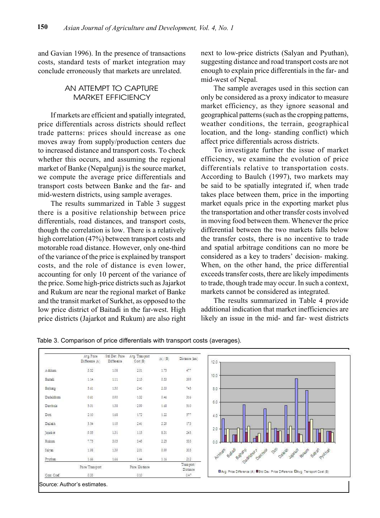and Gavian 1996). In the presence of transactions costs, standard tests of market integration may conclude erroneously that markets are unrelated.

## AN AttEMPt tO cAPtUrE **MARKET EFFICIENCY**

If markets are efficient and spatially integrated, price differentials across districts should reflect trade patterns: prices should increase as one moves away from supply/production centers due to increased distance and transport costs. To check whether this occurs, and assuming the regional market of Banke (Nepalgunj) is the source market, we compute the average price differentials and transport costs between Banke and the far- and mid-western districts, using sample averages.

The results summarized in Table 3 suggest there is a positive relationship between price differentials, road distances, and transport costs, though the correlation is low. There is a relatively high correlation (47%) between transport costs and motorable road distance. However, only one-third of the variance of the price is explained by transport costs, and the role of distance is even lower, accounting for only 10 percent of the variance of the price. Some high-price districts such as Jajarkot and Rukum are near the regional market of Banke and the transit market of Surkhet, as opposed to the low price district of Baitadi in the far-west. High price districts (Jajarkot and Rukum) are also right next to low-price districts (Salyan and Pyuthan), suggesting distance and road transport costs are not enough to explain price differentials in the far- and mid-west of Nepal.

The sample averages used in this section can only be considered as a proxy indicator to measure market efficiency, as they ignore seasonal and geographical patterns (such as the cropping patterns, weather conditions, the terrain, geographical location, and the long- standing conflict) which affect price differentials across districts.

To investigate further the issue of market efficiency, we examine the evolution of price differentials relative to transportation costs. According to Baulch (1997), two markets may be said to be spatially integrated if, when trade takes place between them, price in the importing market equals price in the exporting market plus the transportation and other transfer costs involved in moving food between them. Whenever the price differential between the two markets falls below the transfer costs, there is no incentive to trade and spatial arbitrage conditions can no more be considered as a key to traders' decision- making. When, on the other hand, the price differential exceeds transfer costs, there are likely impediments to trade, though trade may occur. In such a context, markets cannot be considered as integrated.

The results summarized in Table 4 provide additional indication that market inefficiencies are likely an issue in the mid- and far- west districts

Table 3. Comparison of price differentials with transport costs (averages).

|            |                 | Avg. Price Std Dev. Price | Avg. Transport | $(A)$ $(B)$    | Distance (km)         |
|------------|-----------------|---------------------------|----------------|----------------|-----------------------|
|            | Difference (A)  | Difference                | Cost (B)       |                |                       |
| A drham    | 3.52            | 1.08                      | 2.01           | 1.75           | millet<br>477         |
| Baitadi    | 1.14.           | 111                       | 2.13           | anco<br>0.53   | 2203<br>399           |
| Bajhang    | 5.61            | 150                       | $-2.44$        | $2 - 35$       | 745                   |
| Dadalahura | 0.61            | 0.00                      | 1.32           | 0.46           | 316                   |
| Darchula   | 5.01            | 138                       | 2.99           | 1.68           | 510                   |
| Doti       | $2.10 -$        | 1.68<br>- 92              | 1.72           | 1.22           | 577                   |
| Dailekh    | 3.54            | 110                       | 2.41           | 2.29           | $173\,$               |
| Tajark ot  | 9.55            | 131                       | 115            | 8.31           | 245                   |
| Rukum      | 7.73            | 3.05                      | 345            | 2.25           | 533                   |
| Sairan     | 1.98            | 139                       | 201            | 4,9500<br>0.99 | 303                   |
| Pruthas    | 1.66            | 1.66                      | 1.44           | 1.36           | 212                   |
|            | Price Transport |                           | Price Distance |                | Transport<br>Distance |
| Com Coef   | 0.33            |                           | 0.10           |                | 047                   |

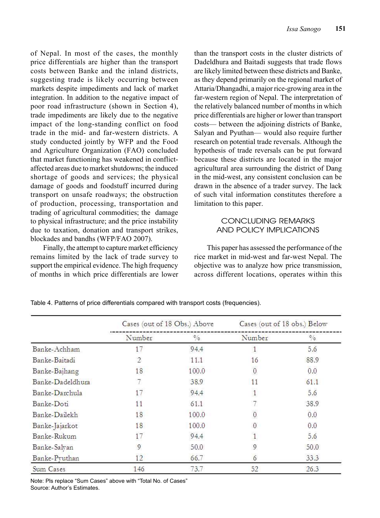of Nepal. In most of the cases, the monthly price differentials are higher than the transport costs between Banke and the inland districts, suggesting trade is likely occurring between markets despite impediments and lack of market integration. In addition to the negative impact of poor road infrastructure (shown in Section 4), trade impediments are likely due to the negative impact of the long-standing conflict on food trade in the mid- and far-western districts. A study conducted jointly by WFP and the Food and Agriculture Organization (FAO) concluded that market functioning has weakened in conflictaffected areas due to market shutdowns; the induced shortage of goods and services; the physical damage of goods and foodstuff incurred during transport on unsafe roadways; the obstruction of production, processing, transportation and trading of agricultural commodities; the damage to physical infrastructure; and the price instability due to taxation, donation and transport strikes, blockades and bandhs (WFP/FAO 2007).

Finally, the attempt to capture market efficiency remains limited by the lack of trade survey to support the empirical evidence. The high frequency of months in which price differentials are lower

than the transport costs in the cluster districts of Dadeldhura and Baitadi suggests that trade flows are likely limited between these districts and Banke, as they depend primarily on the regional market of Attaria/Dhangadhi, a major rice-growing area in the far-western region of Nepal. The interpretation of the relatively balanced number of months in which price differentials are higher or lower than transport costs— between the adjoining districts of Banke, Salyan and Pyuthan— would also require further research on potential trade reversals. Although the hypothesis of trade reversals can be put forward because these districts are located in the major agricultural area surrounding the district of Dang in the mid-west, any consistent conclusion can be drawn in the absence of a trader survey. The lack of such vital information constitutes therefore a limitation to this paper.

## cONcLUDINg rEMArKs AND POLIcY IMPLIcAtIONs

This paper has assessed the performance of the rice market in mid-west and far-west Nepal. The objective was to analyze how price transmission, across different locations, operates within this

|                  |                | Cases (out of 18 Obs.) Above |                | Cases (out of 18 obs.) Below |
|------------------|----------------|------------------------------|----------------|------------------------------|
|                  | Number         | $\frac{0}{0}$                | Number         | $\sqrt[0]{\mathfrak{0}}$     |
| Banke-Achham     | 17             | 94.4                         | $\mathbf{1}$   | 5.6                          |
| Banke-Baitadi    | $\overline{2}$ | 11.1                         | 16             | 88.9                         |
| Banke-Bajhang    | 18             | 100.0                        | $\overline{0}$ | 0.0                          |
| Banke-Dadeldhura |                | 38.9                         | 11             | 61.1                         |
| Banke-Darchula   | 17             | 94.4                         | $\mathbf{1}$   | 5.6                          |
| Banke-Doti       | 11             | 61.1                         |                | 38.9                         |
| Banke-Dailekh    | 18             | 100.0                        | $\overline{0}$ | 0.0                          |
| Banke-Jajarkot   | 18             | 100.0                        | $\theta$       | 0.0                          |
| Banke-Rukum      | 17             | 94.4                         |                | 5.6                          |
| Banke-Salvan     | 9              | 50.0                         | 9              | 50.0                         |
| Banke-Pyuthan    | 12             | 66.7                         | 6              | 33.3                         |
| Sum Cases        | 146            | 73.7                         | 52             | 26.3                         |

Table 4. Patterns of price differentials compared with transport costs (frequencies).

Note: Pls replace "Sum Cases" above with "Total No. of Cases" Source: Author's Estimates.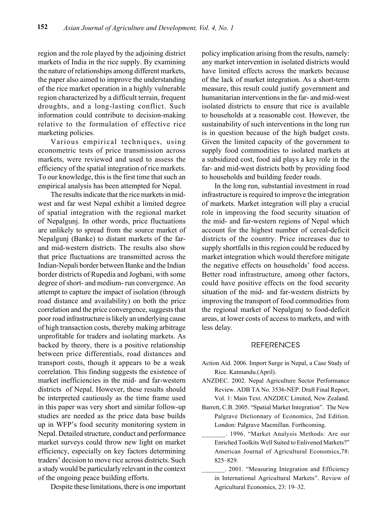region and the role played by the adjoining district markets of India in the rice supply. By examining the nature of relationships among different markets, the paper also aimed to improve the understanding of the rice market operation in a highly vulnerable region characterized by a difficult terrain, frequent droughts, and a long-lasting conflict. Such information could contribute to decision-making relative to the formulation of effective rice marketing policies.

Various empirical techniques, using econometric tests of price transmission across markets, were reviewed and used to assess the efficiency of the spatial integration of rice markets. To our knowledge, this is the first time that such an empirical analysis has been attempted for Nepal.

The results indicate that the rice markets in midwest and far west Nepal exhibit a limited degree of spatial integration with the regional market of Nepalgunj. In other words, price fluctuations are unlikely to spread from the source market of Nepalgunj (Banke) to distant markets of the farand mid-western districts. The results also show that price fluctuations are transmitted across the Indian-Nepali border between Banke and the Indian border districts of Rupedia and Jogbani, with some degree of short- and medium- run convergence. An attempt to capture the impact of isolation (through road distance and availability) on both the price correlation and the price convergence, suggests that poor road infrastructure is likely an underlying cause of high transaction costs, thereby making arbitrage unprofitable for traders and isolating markets. As backed by theory, there is a positive relationship between price differentials, road distances and transport costs, though it appears to be a weak correlation. This finding suggests the existence of market inefficiencies in the mid- and far-western districts of Nepal. However, these results should be interpreted cautiously as the time frame used in this paper was very short and similar follow-up studies are needed as the price data base builds up in WFP's food security monitoring system in Nepal. Detailed structure, conduct and performance market surveys could throw new light on market efficiency, especially on key factors determining traders' decision to move rice across districts. Such a study would be particularly relevant in the context of the ongoing peace building efforts.

Despite these limitations, there is one important

policy implication arising from the results, namely: any market intervention in isolated districts would have limited effects across the markets because of the lack of market integration. As a short-term measure, this result could justify government and humanitarian interventions in the far- and mid-west isolated districts to ensure that rice is available to households at a reasonable cost. However, the sustainability of such interventions in the long run is in question because of the high budget costs. Given the limited capacity of the government to supply food commodities to isolated markets at a subsidized cost, food aid plays a key role in the far- and mid-west districts both by providing food to households and building feeder roads.

In the long run, substantial investment in road infrastructure is required to improve the integration of markets. Market integration will play a crucial role in improving the food security situation of the mid- and far-western regions of Nepal which account for the highest number of cereal-deficit districts of the country. Price increases due to supply shortfalls in this region could be reduced by market integration which would therefore mitigate the negative effects on households' food access. Better road infrastructure, among other factors, could have positive effects on the food security situation of the mid- and far-western districts by improving the transport of food commodities from the regional market of Nepalgunj to food-deficit areas, at lower costs of access to markets, and with less delay.

#### **REFERENCES**

- Action Aid. 2006. Import Surge in Nepal, a Case Study of Rice. Katmandu.(April).
- ANZDEC. 2002. Nepal Agriculture Sector Performance Review. ADB TA No. 3536-NEP. Draft Final Report, Vol. 1: Main Text. ANZDEC Limited, New Zealand.
- Barrett, C.B. 2005. "Spatial Market Integration". The New Palgrave Dictionnary of Economics, 2nd Edition. London: Palgrave Macmillan. Forthcoming.
	- \_\_\_\_\_\_\_. 1996. "Market Analysis Methods: Are our Enriched Toolkits Well Suited to Enlivened Markets?" American Journal of Agricultural Economics,78: 825–829.
	- \_\_\_\_\_\_\_. 2001. "Measuring Integration and Efficiency in International Agricultural Markets". Review of Agricultural Economics, 23: 19–32.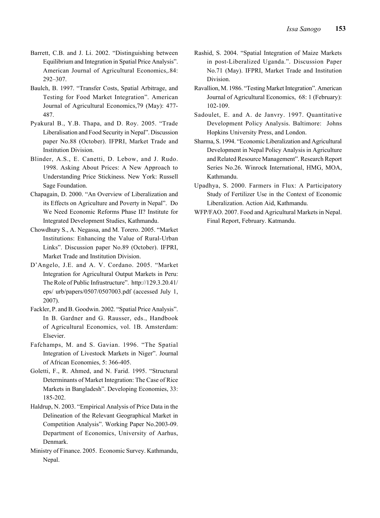- Barrett, C.B. and J. Li. 2002. "Distinguishing between Equilibrium and Integration in Spatial Price Analysis". American Journal of Agricultural Economics,.84: 292–307.
- Baulch, B. 1997. "Transfer Costs, Spatial Arbitrage, and Testing for Food Market Integration". American Journal of Agricultural Economics,79 (May): 477- 487.
- Pyakural B., Y.B. Thapa, and D. Roy. 2005. "Trade Liberalisation and Food Security in Nepal". Discussion paper No.88 (October). IFPRI, Market Trade and Institution Division.
- Blinder, A.S., E. Canetti, D. Lebow, and J. Rudo. 1998. Asking About Prices: A New Approach to Understanding Price Stickiness. New York: Russell Sage Foundation.
- Chapagain, D. 2000. "An Overview of Liberalization and its Effects on Agriculture and Poverty in Nepal". Do We Need Economic Reforms Phase II? Institute for Integrated Development Studies, Kathmandu.
- Chowdhury S., A. Negassa, and M. Torero. 2005. "Market Institutions: Enhancing the Value of Rural-Urban Links". Discussion paper No.89 (October). IFPRI, Market Trade and Institution Division.
- D'Angelo, J.E. and A. V. Cordano. 2005. "Market Integration for Agricultural Output Markets in Peru: The Role of Public Infrastructure". http://129.3.20.41/ eps/ urb/papers/0507/0507003.pdf (accessed July 1, 2007).
- Fackler, P. and B. Goodwin. 2002. "Spatial Price Analysis". In B. Gardner and G. Rausser, eds., Handbook of Agricultural Economics, vol. 1B. Amsterdam: Elsevier.
- Fafchamps, M. and S. Gavian. 1996. "The Spatial Integration of Livestock Markets in Niger". Journal of African Economies, 5: 366-405.
- Goletti, F., R. Ahmed, and N. Farid. 1995. "Structural Determinants of Market Integration: The Case of Rice Markets in Bangladesh". Developing Economies, 33: 185-202.
- Haldrup, N. 2003. "Empirical Analysis of Price Data in the Delineation of the Relevant Geographical Market in Competition Analysis". Working Paper No.2003-09. Department of Economics, University of Aarhus, Denmark.
- Ministry of Finance. 2005. Economic Survey. Kathmandu, Nepal.
- Rashid, S. 2004. "Spatial Integration of Maize Markets in post-Liberalized Uganda.". Discussion Paper No.71 (May). IFPRI, Market Trade and Institution Division.
- Ravallion, M. 1986. "Testing Market Integration". American Journal of Agricultural Economics, 68: 1 (February): 102-109.
- Sadoulet, E. and A. de Janvry. 1997. Quantitative Development Policy Analysis. Baltimore: Johns Hopkins University Press, and London.
- Sharma, S. 1994. "Economic Liberalization and Agricultural Development in Nepal Policy Analysis in Agriculture and Related Resource Management". Research Report Series No.26. Winrock International, HMG, MOA, Kathmandu.
- Upadhya, S. 2000. Farmers in Flux: A Participatory Study of Fertilizer Use in the Context of Economic Liberalization. Action Aid, Kathmandu.
- WFP/FAO. 2007. Food and Agricultural Markets in Nepal. Final Report, February. Katmandu.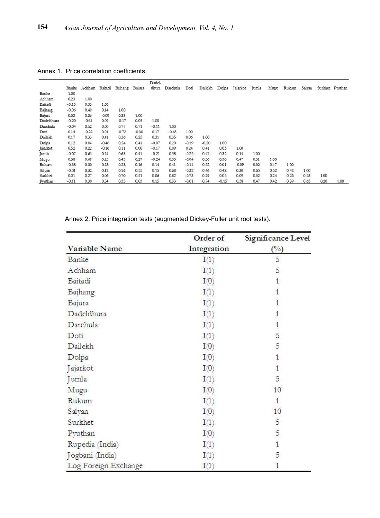Annex 1. Price correlation coefficients.

|            |         |         |         |         |         | Dadel-  |          |         |         |         |          |       |      |       |        |         |         |
|------------|---------|---------|---------|---------|---------|---------|----------|---------|---------|---------|----------|-------|------|-------|--------|---------|---------|
|            | Banke   | Achham  | Baitadi | Bajhang | Bajura  | dhura   | Darchula | Doti    | Dailekh | Dolpa   | Jajarkot | Jumla | Mugu | Rukum | Salvan | Surkhet | Pruthan |
| Banke      | 1.00    |         |         |         |         |         |          |         |         |         |          |       |      |       |        |         |         |
| Achham     | 0.23    | 1.00    |         |         |         |         |          |         |         |         |          |       |      |       |        |         |         |
| Baitadi    | $-0.13$ | 0.33    | 1.00    |         |         |         |          |         |         |         |          |       |      |       |        |         |         |
| Bajhang    | $-0.06$ | 0,49    | 0.14    | 1.00    |         |         |          |         |         |         |          |       |      |       |        |         |         |
| Bajura     | 0.32    | 0.36    | $-0.09$ | 0.33    | 1.00    |         |          |         |         |         |          |       |      |       |        |         |         |
| Dadeldhura | $-0.20$ | $-0.64$ | 0.09    | $-0.17$ | 0.05    | 1.00    |          |         |         |         |          |       |      |       |        |         |         |
| Darchula   | $-0.04$ | 0.52    | 0.00    | 0.77    | 0.71    | $-0.11$ | 1.00     |         |         |         |          |       |      |       |        |         |         |
| Doti       | 0.14    | $-0.22$ | 0.01    | $-0.72$ | $-0.30$ | 0.17    | $-0.68$  | 1.00    |         |         |          |       |      |       |        |         |         |
| Dailekh    | 0.17    | 0.33    | 0.41    | 0.36    | 0.25    | 0.31    | 0.35     | 0.06    | 1.00    |         |          |       |      |       |        |         |         |
| Dolpa      | 0.12    | 0.04    | $-0.46$ | 0.24    | 0.41    | $-0.07$ | 0.20     | $-0.19$ | $-0.20$ | 1.00    |          |       |      |       |        |         |         |
| Jajarkot   | 0.52    | 0.22    | $-0.16$ | 0.11    | 0.00    | $-0.17$ | 0.09     | 0.24    | 0.41    | 0.05    | 1.00     |       |      |       |        |         |         |
| Jumla      | $-0.07$ | 0.63    | 0.24    | 0.63    | 0.41    | $-0.21$ | 0.58     | $-0.25$ | 0.47    | 0.32    | 0.14     | 1.00  |      |       |        |         |         |
| Mugu       | 0.38    | 0.69    | 0.25    | 0.43    | 0.27    | $-0.24$ | 0.35     | $-0.04$ | 0.56    | 0.30    | 0.47     | 0.51  | 1.00 |       |        |         |         |
| Rukum      | $-0.38$ | 0.30    | 0.28    | 0.28    | 0.16    | 0.14    | 0.41     | $-0.14$ | 0.52    | 0.01    | $-0.09$  | 0.52  | 0.47 | 1.00  |        |         |         |
| Salvan     | $-0.01$ | 0.32    | 0.12    | 0.56    | 0.55    | 0.15    | 0.68     | $-0.32$ | 0.46    | 0.48    | 0.30     | 0.65  | 0.52 | 0.42  | 1.00   |         |         |
| Surkhet    | 0.01    | 0.27    | 0.06    | 0.70    | 0.51    | 0.06    | 0.82     | $-0.73$ | 0.29    | 0.05    | 0.09     | 0.32  | 0.24 | 0.26  | 0.53   | 1.00    |         |
| Pruthan    | $-0.11$ | 0.30    | 0.54    | 0.35    | 0.03    | 0.15    | 0.33     | $-0.01$ | 0.74    | $-0.15$ | 0.38     | 0.47  | 0.42 | 0.39  | 0.63   | 0.20    | 1.00    |

Annex 2. Price integration tests (augmented Dickey-Fuller unit root tests).

|                      | Order of    | Significance Level      |  |  |
|----------------------|-------------|-------------------------|--|--|
| Vanable Name         | Integration | $(^{\circ}\!/_{\circ})$ |  |  |
| Banke                | I(1)        | 5                       |  |  |
| Achham               | I(1)        | 5                       |  |  |
| Baitadi              | I(0)        | $\mathbf{1}$            |  |  |
| Bajhang              | I(1)        | 1                       |  |  |
| Bajura               | I(1)        | $\overline{1}$          |  |  |
| Dadeldhura           | I(1)        | $\,1$                   |  |  |
| Darchula             | I(1)        | $\mathbf{1}$            |  |  |
| Doti                 | I(1)        | 5                       |  |  |
| Dailekh              | I(0)        | 5                       |  |  |
| Dolpa                | I(0)        | 1                       |  |  |
| Jajarkot             | I(0)        | $\mathbf{1}$            |  |  |
| Jumla                | I(1)        | 5                       |  |  |
| Mugu                 | I(0)        | 10                      |  |  |
| Rukum                | I(1)        | $\overline{1}$          |  |  |
| Salyan               | I(0)        | 10                      |  |  |
| Surkhet              | I(1)        | 5                       |  |  |
| Pyuthan              | I(0)        | 5                       |  |  |
| Rupedia (India)      | I(1)        | $\,1\,$                 |  |  |
| Jogbani (India)      | I(1)        | 5                       |  |  |
| Log Foreign Exchange | I(1)        | 1                       |  |  |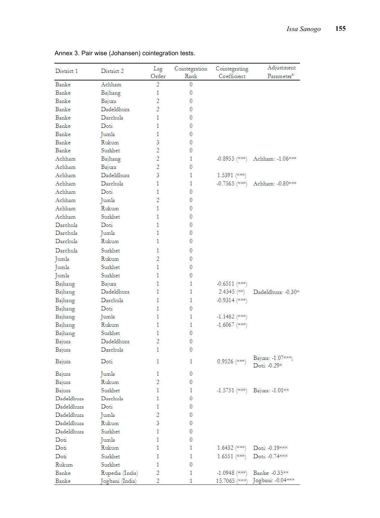| District 1 | District 2      | Lag<br>Order   | Cointegration<br>Rank | Cointegrating<br>Coefficient | Adjustment<br>Parameter <sup>a/</sup> |
|------------|-----------------|----------------|-----------------------|------------------------------|---------------------------------------|
| Banke      | Achham          | $\overline{2}$ | 0                     |                              |                                       |
| Banke      | Bajhang         | 1              | 0                     |                              |                                       |
| Banke      | Bajura          | 2              | 0                     |                              |                                       |
| Banke      | Dadeldhura      | 2              | 0                     |                              |                                       |
| Banke      | Darchula        | 1              | 0                     |                              |                                       |
| Banke      | Doti            | 1              | 0                     |                              |                                       |
| Banke      | Jumla           | 1              | 0                     |                              |                                       |
| Banke      | Rukum           | 3              | 0                     |                              |                                       |
| Banke      | Surkhet         | 2              | 0                     |                              |                                       |
| Achham     | Bajhang         | $\overline{2}$ | 1                     | $-0.8955$ (***)              | Achham: - 1.06 ***                    |
| Achham     | Bajura          | $\overline{2}$ | 0                     |                              |                                       |
| Achham     | Dadeldhura      | 3              | 1                     | $1.5391$ (***)               |                                       |
| Achham     | Darchula        | 1              | 1                     | $-0.7565$ (***)              | Achham: - 0.80***                     |
| Achham     | Doti            | 1              | 0                     |                              |                                       |
| Achham     | Jumla           | 2              | 0                     |                              |                                       |
| Achham     | Rukum           | 1              | 0                     |                              |                                       |
| Achham     | Surkhet         | 1              | 0                     |                              |                                       |
| Darchula   | Doti            | 1              | 0                     |                              |                                       |
| Darchula   | Jumla           | 1              | 0                     |                              |                                       |
| Darchula   | Rukum           | 1              | 0                     |                              |                                       |
| Darchula   | Surkhet         | 1              | 0                     |                              |                                       |
| Jumla      | Rukum           | 2              | 0                     |                              |                                       |
| Jumla      | Surkhet         | 1              | 0                     |                              |                                       |
| Jumla      | Surkhet         | 1              | 0                     |                              |                                       |
| Bajhang    | Bajura          | 1              | 1                     | $-0.6511$ (***)              |                                       |
| Bajhang    | Dadeldhura      | 1              | 1                     | $2.4345$ (**)                | Dadeldhura: -0.30*>                   |
| Bajhang    | Darchula        | 1              | Ĩ                     | $-0.9314$ (***)              |                                       |
| Bajhang    | Doti            | 1              | 0                     |                              |                                       |
| Bajhang    | Jumla           | 1              | 1                     | $-1.1482$ (***)              |                                       |
| Bajhang    | Rukum           | 1              | 1                     | $-1.6067$ (***)              |                                       |
| Bajhang    | Surkhet         | 1              | 0                     |                              |                                       |
| Bajura     | Dadeldhura      | $\overline{2}$ | 0                     |                              |                                       |
| Bajura     | Darchula        | 1              | $\theta$              |                              |                                       |
| Bajura     | Doti            | $\mathbf{1}$   | $\mathbf{1}$          | 0.9526 (***)                 | Bajura: -1.07***;<br>Doti: -0.29*     |
| Bajura     | Jumla           | 1              | 0                     |                              |                                       |
| Bajura     | Rukum           | 2              | 0                     |                              |                                       |
| Bajura     | Surkhet         | 1              | 1                     | $-1.5751$ (***)              | Bajura: - 1.01**                      |
| Dadeldhura | Darchula        | 1              | 0                     |                              |                                       |
| Dadeldhura | Doti            | 1              | 0                     |                              |                                       |
| Dadeldhura | Jumla           | $\overline{2}$ | 0                     |                              |                                       |
| Dadeldhura | Rukum           | 3              | 0                     |                              |                                       |
| Dadeldhura | Surkhet         | 1              | 0                     |                              |                                       |
| Doti       | Jumla           | 1              | 0                     |                              |                                       |
| Doti       | Rukum           | 1              | 1                     | $1.6432$ (***)               | Doti: -0.19***                        |
| Doti       | Surkhet         | 1              | 1                     | $1.6551$ (***)               | Doti: -0.74***                        |
| Rukum      | Surkhet         | 1              | 0                     |                              |                                       |
| Banke      | Rupedia (India) | $\overline{2}$ | 1                     | $-1.0948$ (***)              | Banke: -0.35**                        |
| Banke      | Jogbani (India) | $\overline{2}$ | 1                     | 15.7065 (***)                | Jogbani: -0.04***                     |

Annex 3. Pair wise (Johansen) cointegration tests.